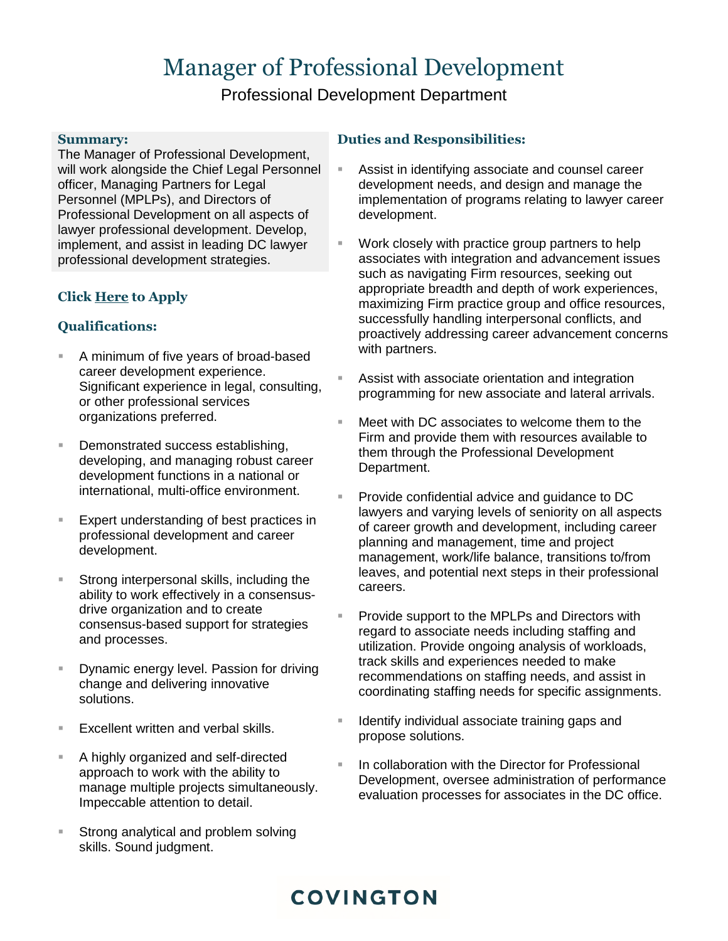# Manager of Professional Development

Professional Development Department

#### **Summary:**

The Manager of Professional Development, will work alongside the Chief Legal Personnel officer, Managing Partners for Legal Personnel (MPLPs), and Directors of Professional Development on all aspects of lawyer professional development. Develop, implement, and assist in leading DC lawyer professional development strategies.

#### **Clic[k Here](mailto:humanresources@cov.com?subject=Manager%20of%20Professional%20Development) to Apply**

#### **Qualifications:**

- A minimum of five years of broad-based career development experience. Significant experience in legal, consulting, or other professional services organizations preferred.
- Demonstrated success establishing, developing, and managing robust career development functions in a national or international, multi-office environment.
- Expert understanding of best practices in professional development and career development.
- Strong interpersonal skills, including the ability to work effectively in a consensusdrive organization and to create consensus-based support for strategies and processes.
- Dynamic energy level. Passion for driving change and delivering innovative solutions.
- Excellent written and verbal skills.
- A highly organized and self-directed approach to work with the ability to manage multiple projects simultaneously. Impeccable attention to detail.
- Strong analytical and problem solving skills. Sound judgment.

#### **Duties and Responsibilities:**

- Assist in identifying associate and counsel career development needs, and design and manage the implementation of programs relating to lawyer career development.
- Work closely with practice group partners to help associates with integration and advancement issues such as navigating Firm resources, seeking out appropriate breadth and depth of work experiences, maximizing Firm practice group and office resources, successfully handling interpersonal conflicts, and proactively addressing career advancement concerns with partners.
- Assist with associate orientation and integration programming for new associate and lateral arrivals.
- Meet with DC associates to welcome them to the Firm and provide them with resources available to them through the Professional Development Department.
- Provide confidential advice and guidance to DC lawyers and varying levels of seniority on all aspects of career growth and development, including career planning and management, time and project management, work/life balance, transitions to/from leaves, and potential next steps in their professional careers.
- Provide support to the MPLPs and Directors with regard to associate needs including staffing and utilization. Provide ongoing analysis of workloads, track skills and experiences needed to make recommendations on staffing needs, and assist in coordinating staffing needs for specific assignments.
- Identify individual associate training gaps and propose solutions.
- In collaboration with the Director for Professional Development, oversee administration of performance evaluation processes for associates in the DC office.

## **COVINGTON**